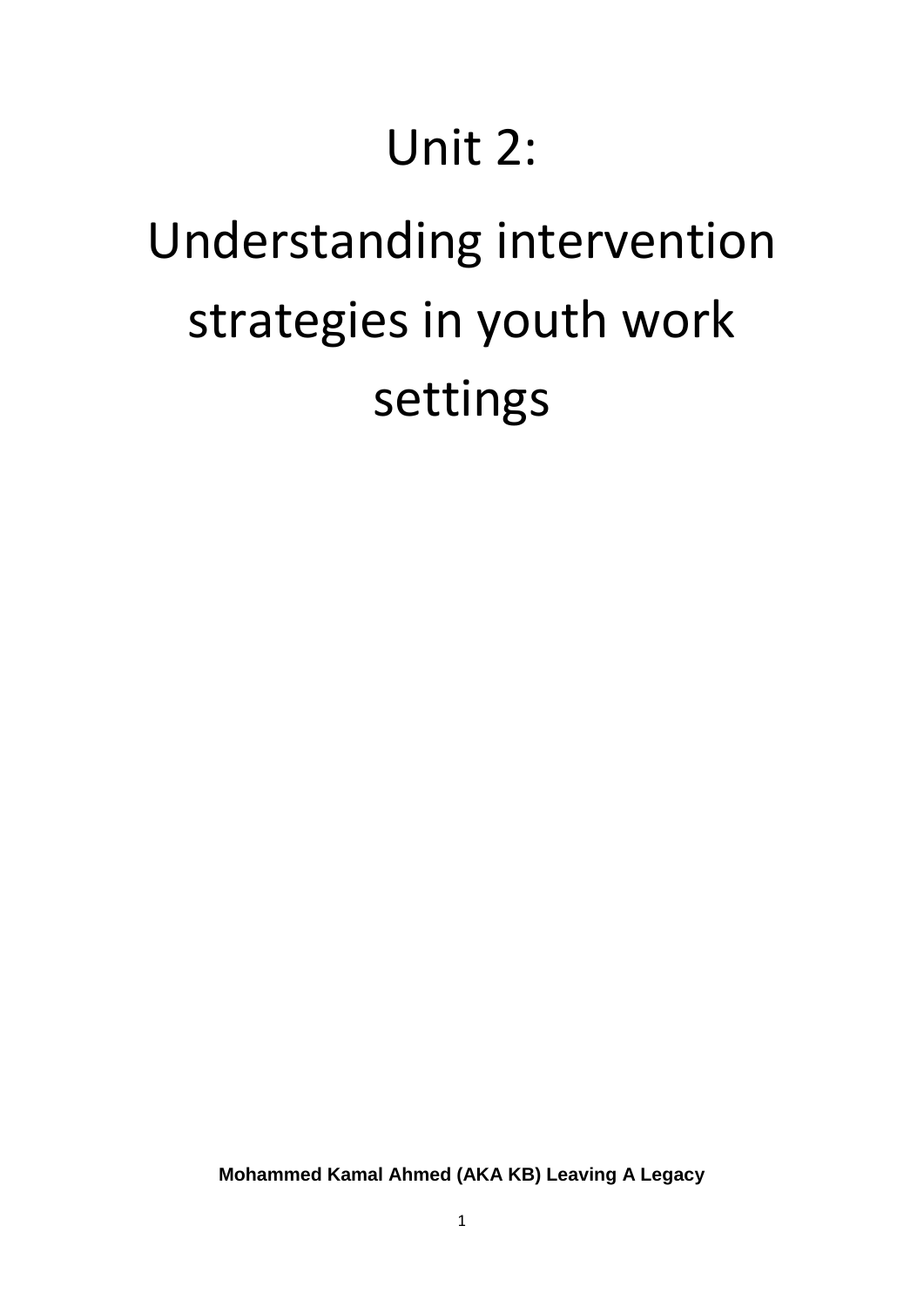## Unit 2:

# Understanding intervention strategies in youth work settings

**Mohammed Kamal Ahmed (AKA KB) Leaving A Legacy**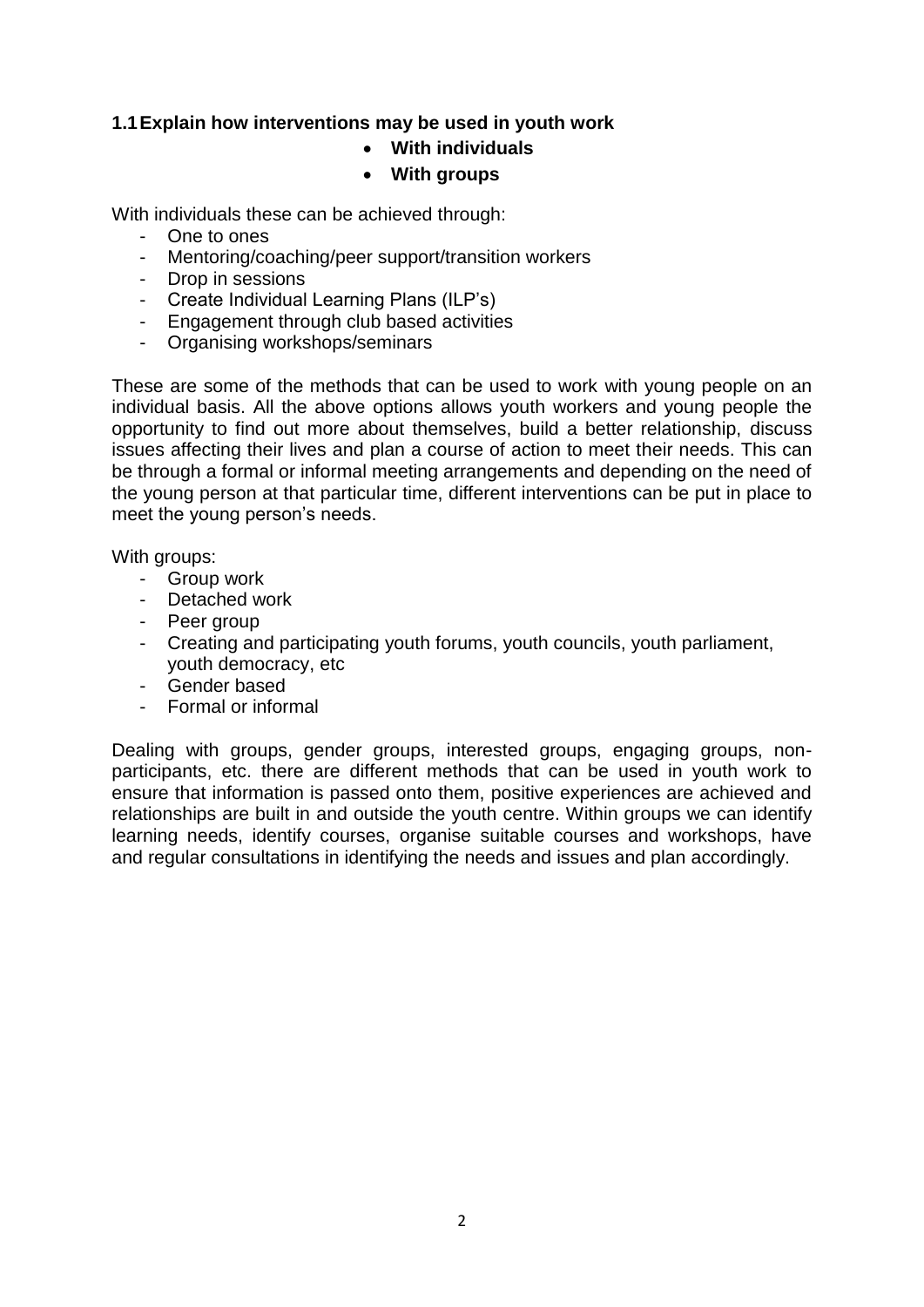#### **1.1Explain how interventions may be used in youth work**

#### **With individuals**

#### **With groups**

With individuals these can be achieved through:

- One to ones
- Mentoring/coaching/peer support/transition workers
- Drop in sessions
- Create Individual Learning Plans (ILP's)
- Engagement through club based activities
- Organising workshops/seminars

These are some of the methods that can be used to work with young people on an individual basis. All the above options allows youth workers and young people the opportunity to find out more about themselves, build a better relationship, discuss issues affecting their lives and plan a course of action to meet their needs. This can be through a formal or informal meeting arrangements and depending on the need of the young person at that particular time, different interventions can be put in place to meet the young person's needs.

With groups:

- Group work
- Detached work
- Peer group
- Creating and participating youth forums, youth councils, youth parliament, youth democracy, etc
- Gender based
- Formal or informal

Dealing with groups, gender groups, interested groups, engaging groups, nonparticipants, etc. there are different methods that can be used in youth work to ensure that information is passed onto them, positive experiences are achieved and relationships are built in and outside the youth centre. Within groups we can identify learning needs, identify courses, organise suitable courses and workshops, have and regular consultations in identifying the needs and issues and plan accordingly.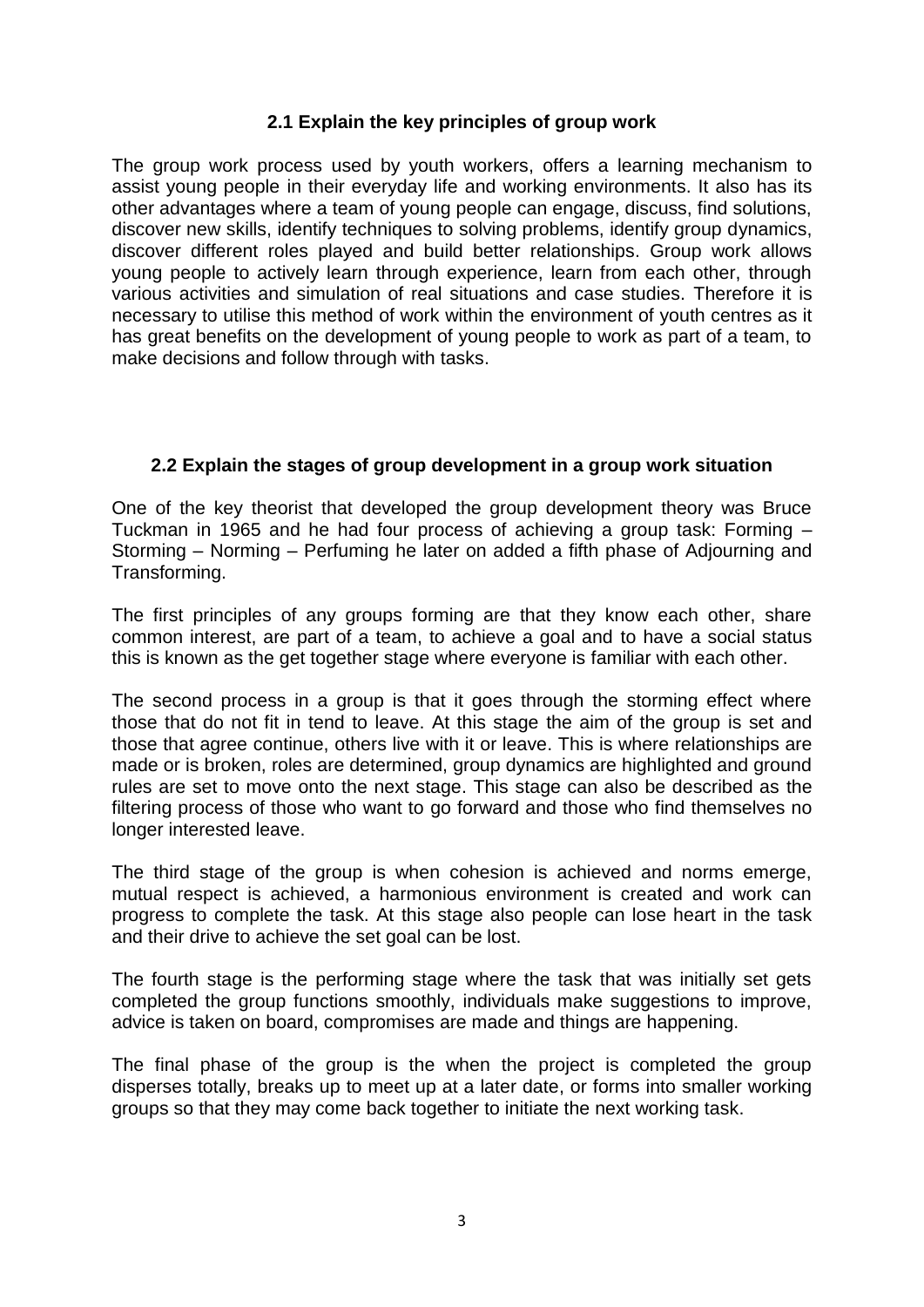#### **2.1 Explain the key principles of group work**

The group work process used by youth workers, offers a learning mechanism to assist young people in their everyday life and working environments. It also has its other advantages where a team of young people can engage, discuss, find solutions, discover new skills, identify techniques to solving problems, identify group dynamics, discover different roles played and build better relationships. Group work allows young people to actively learn through experience, learn from each other, through various activities and simulation of real situations and case studies. Therefore it is necessary to utilise this method of work within the environment of youth centres as it has great benefits on the development of young people to work as part of a team, to make decisions and follow through with tasks.

#### **2.2 Explain the stages of group development in a group work situation**

One of the key theorist that developed the group development theory was Bruce Tuckman in 1965 and he had four process of achieving a group task: Forming – Storming – Norming – Perfuming he later on added a fifth phase of Adjourning and Transforming.

The first principles of any groups forming are that they know each other, share common interest, are part of a team, to achieve a goal and to have a social status this is known as the get together stage where everyone is familiar with each other.

The second process in a group is that it goes through the storming effect where those that do not fit in tend to leave. At this stage the aim of the group is set and those that agree continue, others live with it or leave. This is where relationships are made or is broken, roles are determined, group dynamics are highlighted and ground rules are set to move onto the next stage. This stage can also be described as the filtering process of those who want to go forward and those who find themselves no longer interested leave.

The third stage of the group is when cohesion is achieved and norms emerge, mutual respect is achieved, a harmonious environment is created and work can progress to complete the task. At this stage also people can lose heart in the task and their drive to achieve the set goal can be lost.

The fourth stage is the performing stage where the task that was initially set gets completed the group functions smoothly, individuals make suggestions to improve, advice is taken on board, compromises are made and things are happening.

The final phase of the group is the when the project is completed the group disperses totally, breaks up to meet up at a later date, or forms into smaller working groups so that they may come back together to initiate the next working task.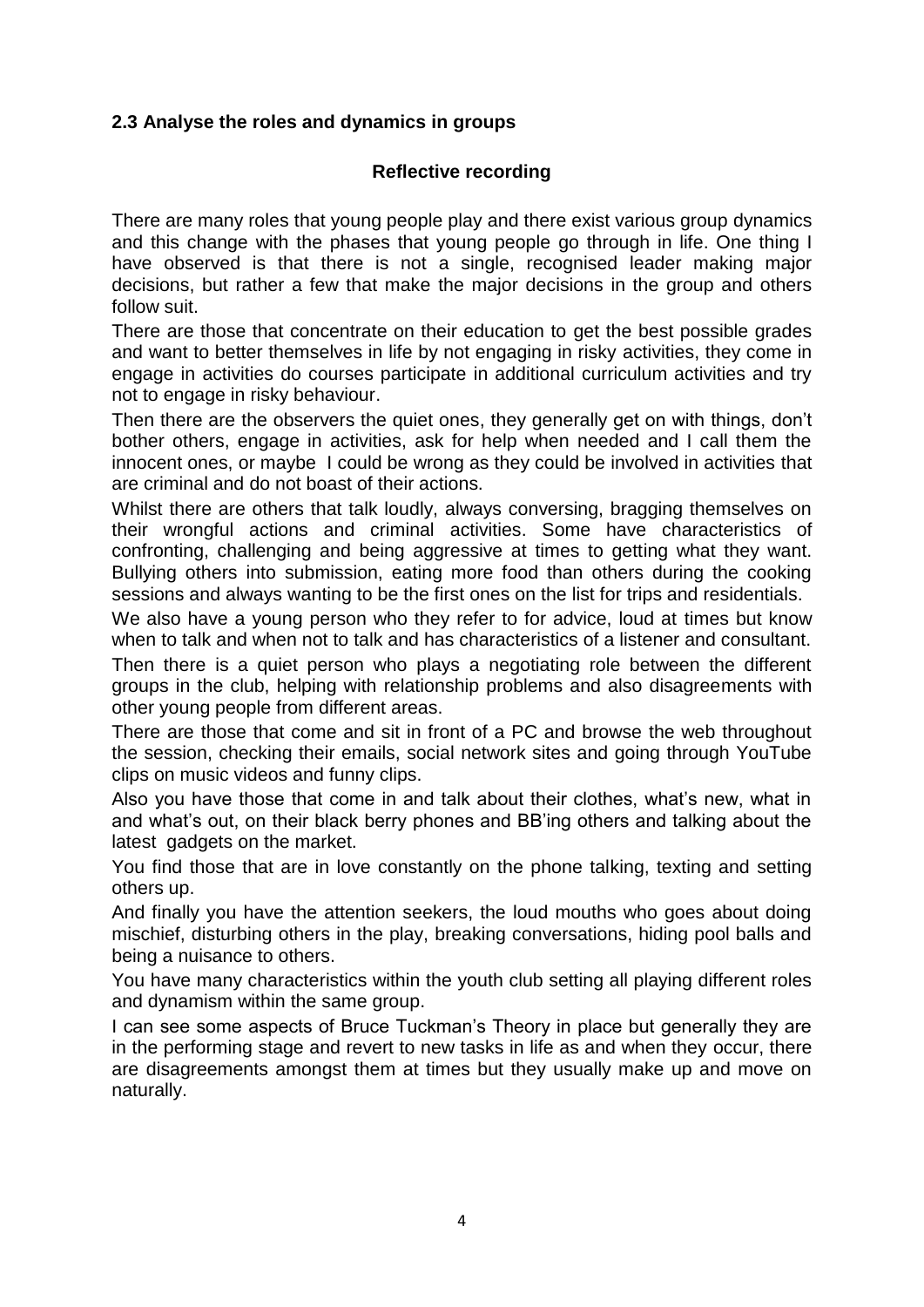#### **2.3 Analyse the roles and dynamics in groups**

#### **Reflective recording**

There are many roles that young people play and there exist various group dynamics and this change with the phases that young people go through in life. One thing I have observed is that there is not a single, recognised leader making major decisions, but rather a few that make the major decisions in the group and others follow suit.

There are those that concentrate on their education to get the best possible grades and want to better themselves in life by not engaging in risky activities, they come in engage in activities do courses participate in additional curriculum activities and try not to engage in risky behaviour.

Then there are the observers the quiet ones, they generally get on with things, don't bother others, engage in activities, ask for help when needed and I call them the innocent ones, or maybe I could be wrong as they could be involved in activities that are criminal and do not boast of their actions.

Whilst there are others that talk loudly, always conversing, bragging themselves on their wrongful actions and criminal activities. Some have characteristics of confronting, challenging and being aggressive at times to getting what they want. Bullying others into submission, eating more food than others during the cooking sessions and always wanting to be the first ones on the list for trips and residentials.

We also have a young person who they refer to for advice, loud at times but know when to talk and when not to talk and has characteristics of a listener and consultant.

Then there is a quiet person who plays a negotiating role between the different groups in the club, helping with relationship problems and also disagreements with other young people from different areas.

There are those that come and sit in front of a PC and browse the web throughout the session, checking their emails, social network sites and going through YouTube clips on music videos and funny clips.

Also you have those that come in and talk about their clothes, what's new, what in and what's out, on their black berry phones and BB'ing others and talking about the latest gadgets on the market.

You find those that are in love constantly on the phone talking, texting and setting others up.

And finally you have the attention seekers, the loud mouths who goes about doing mischief, disturbing others in the play, breaking conversations, hiding pool balls and being a nuisance to others.

You have many characteristics within the youth club setting all playing different roles and dynamism within the same group.

I can see some aspects of Bruce Tuckman's Theory in place but generally they are in the performing stage and revert to new tasks in life as and when they occur, there are disagreements amongst them at times but they usually make up and move on naturally.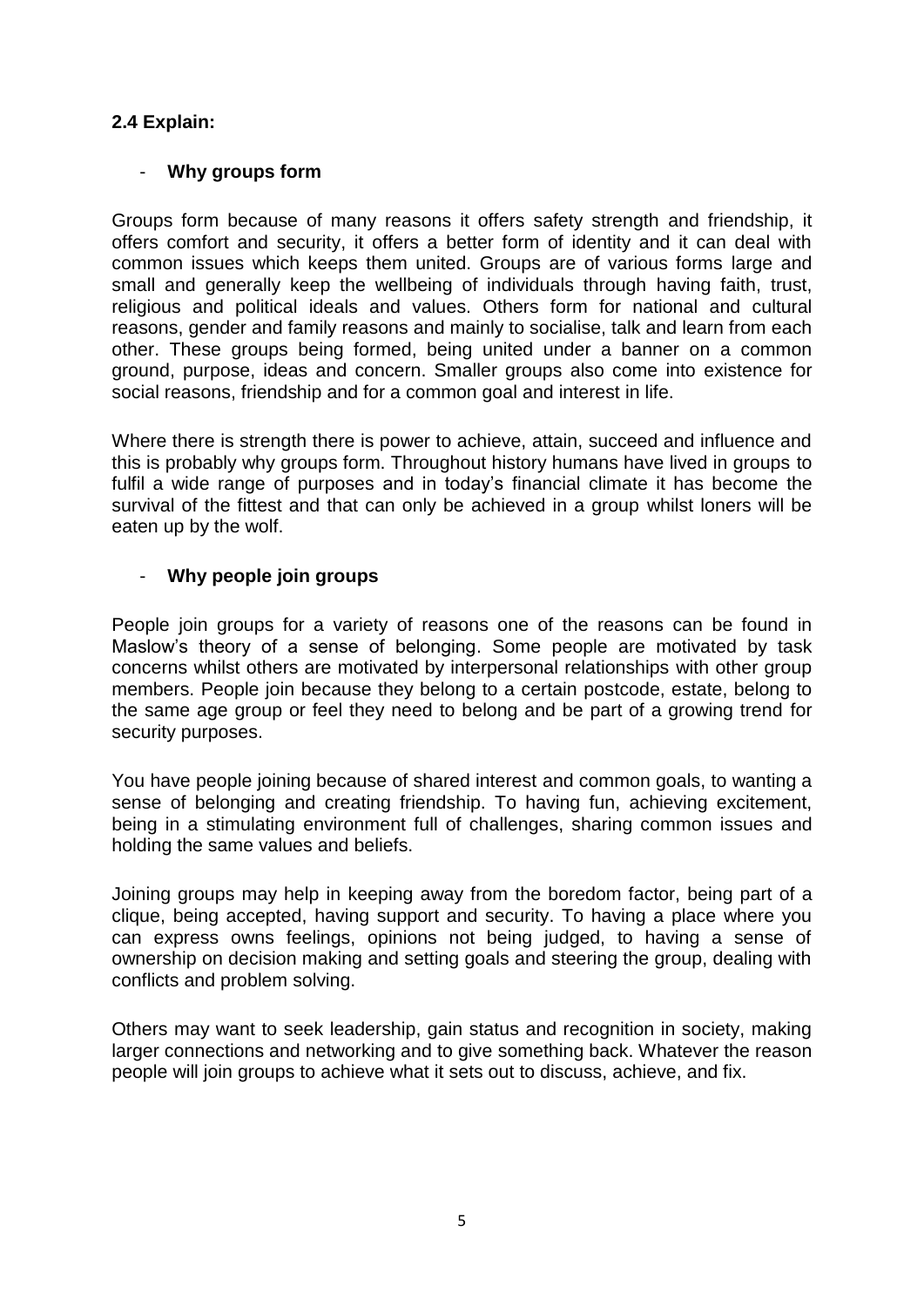#### **2.4 Explain:**

#### - **Why groups form**

Groups form because of many reasons it offers safety strength and friendship, it offers comfort and security, it offers a better form of identity and it can deal with common issues which keeps them united. Groups are of various forms large and small and generally keep the wellbeing of individuals through having faith, trust, religious and political ideals and values. Others form for national and cultural reasons, gender and family reasons and mainly to socialise, talk and learn from each other. These groups being formed, being united under a banner on a common ground, purpose, ideas and concern. Smaller groups also come into existence for social reasons, friendship and for a common goal and interest in life.

Where there is strength there is power to achieve, attain, succeed and influence and this is probably why groups form. Throughout history humans have lived in groups to fulfil a wide range of purposes and in today's financial climate it has become the survival of the fittest and that can only be achieved in a group whilst loners will be eaten up by the wolf.

#### - **Why people join groups**

People join groups for a variety of reasons one of the reasons can be found in Maslow's theory of a sense of belonging. Some people are motivated by task concerns whilst others are motivated by interpersonal relationships with other group members. People join because they belong to a certain postcode, estate, belong to the same age group or feel they need to belong and be part of a growing trend for security purposes.

You have people joining because of shared interest and common goals, to wanting a sense of belonging and creating friendship. To having fun, achieving excitement, being in a stimulating environment full of challenges, sharing common issues and holding the same values and beliefs.

Joining groups may help in keeping away from the boredom factor, being part of a clique, being accepted, having support and security. To having a place where you can express owns feelings, opinions not being judged, to having a sense of ownership on decision making and setting goals and steering the group, dealing with conflicts and problem solving.

Others may want to seek leadership, gain status and recognition in society, making larger connections and networking and to give something back. Whatever the reason people will join groups to achieve what it sets out to discuss, achieve, and fix.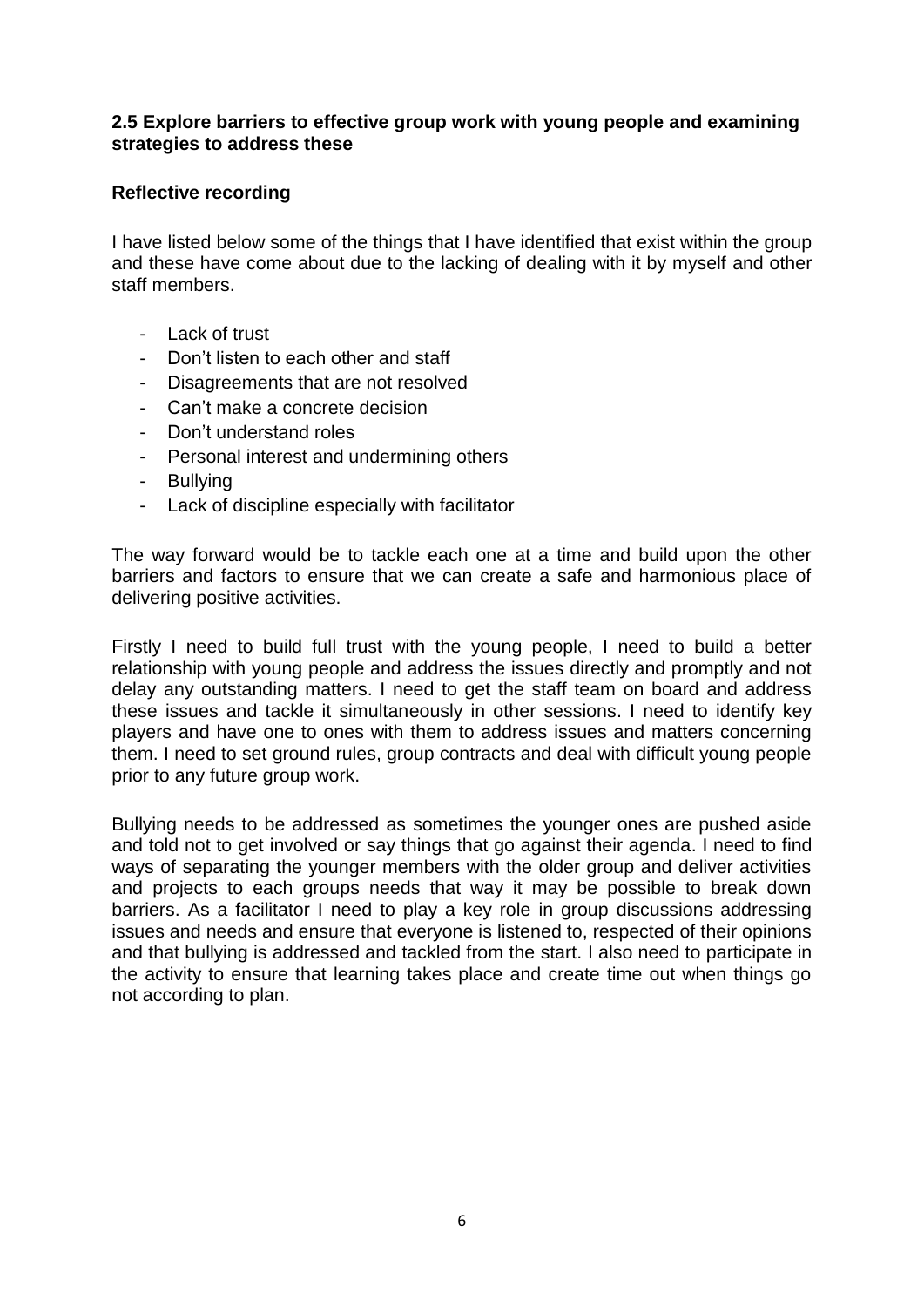#### **2.5 Explore barriers to effective group work with young people and examining strategies to address these**

#### **Reflective recording**

I have listed below some of the things that I have identified that exist within the group and these have come about due to the lacking of dealing with it by myself and other staff members.

- Lack of trust
- Don't listen to each other and staff
- Disagreements that are not resolved
- Can't make a concrete decision
- Don't understand roles
- Personal interest and undermining others
- Bullying
- Lack of discipline especially with facilitator

The way forward would be to tackle each one at a time and build upon the other barriers and factors to ensure that we can create a safe and harmonious place of delivering positive activities.

Firstly I need to build full trust with the young people, I need to build a better relationship with young people and address the issues directly and promptly and not delay any outstanding matters. I need to get the staff team on board and address these issues and tackle it simultaneously in other sessions. I need to identify key players and have one to ones with them to address issues and matters concerning them. I need to set ground rules, group contracts and deal with difficult young people prior to any future group work.

Bullying needs to be addressed as sometimes the younger ones are pushed aside and told not to get involved or say things that go against their agenda. I need to find ways of separating the younger members with the older group and deliver activities and projects to each groups needs that way it may be possible to break down barriers. As a facilitator I need to play a key role in group discussions addressing issues and needs and ensure that everyone is listened to, respected of their opinions and that bullying is addressed and tackled from the start. I also need to participate in the activity to ensure that learning takes place and create time out when things go not according to plan.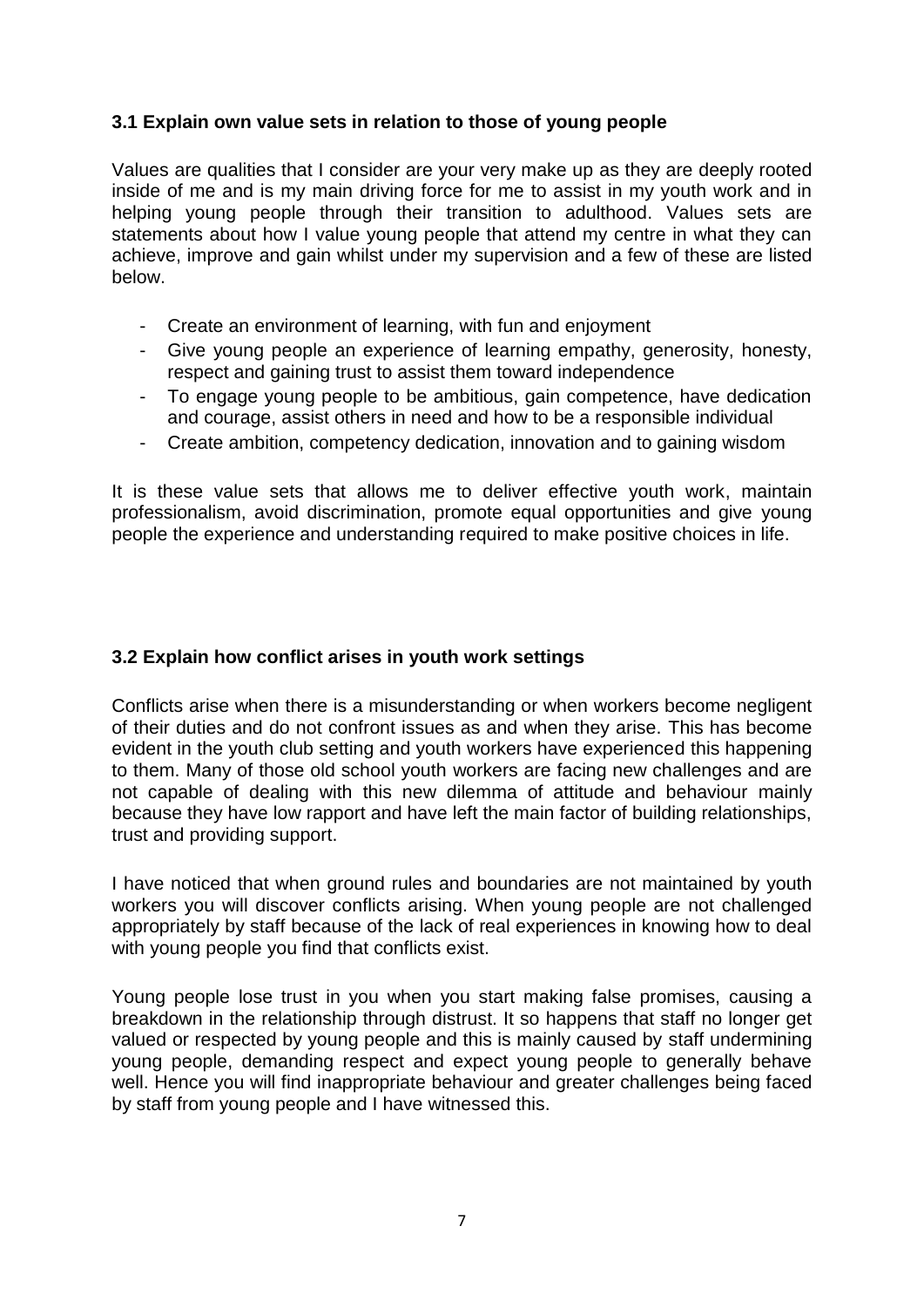#### **3.1 Explain own value sets in relation to those of young people**

Values are qualities that I consider are your very make up as they are deeply rooted inside of me and is my main driving force for me to assist in my youth work and in helping young people through their transition to adulthood. Values sets are statements about how I value young people that attend my centre in what they can achieve, improve and gain whilst under my supervision and a few of these are listed below.

- Create an environment of learning, with fun and enjoyment
- Give young people an experience of learning empathy, generosity, honesty, respect and gaining trust to assist them toward independence
- To engage young people to be ambitious, gain competence, have dedication and courage, assist others in need and how to be a responsible individual
- Create ambition, competency dedication, innovation and to gaining wisdom

It is these value sets that allows me to deliver effective youth work, maintain professionalism, avoid discrimination, promote equal opportunities and give young people the experience and understanding required to make positive choices in life.

#### **3.2 Explain how conflict arises in youth work settings**

Conflicts arise when there is a misunderstanding or when workers become negligent of their duties and do not confront issues as and when they arise. This has become evident in the youth club setting and youth workers have experienced this happening to them. Many of those old school youth workers are facing new challenges and are not capable of dealing with this new dilemma of attitude and behaviour mainly because they have low rapport and have left the main factor of building relationships, trust and providing support.

I have noticed that when ground rules and boundaries are not maintained by youth workers you will discover conflicts arising. When young people are not challenged appropriately by staff because of the lack of real experiences in knowing how to deal with young people you find that conflicts exist.

Young people lose trust in you when you start making false promises, causing a breakdown in the relationship through distrust. It so happens that staff no longer get valued or respected by young people and this is mainly caused by staff undermining young people, demanding respect and expect young people to generally behave well. Hence you will find inappropriate behaviour and greater challenges being faced by staff from young people and I have witnessed this.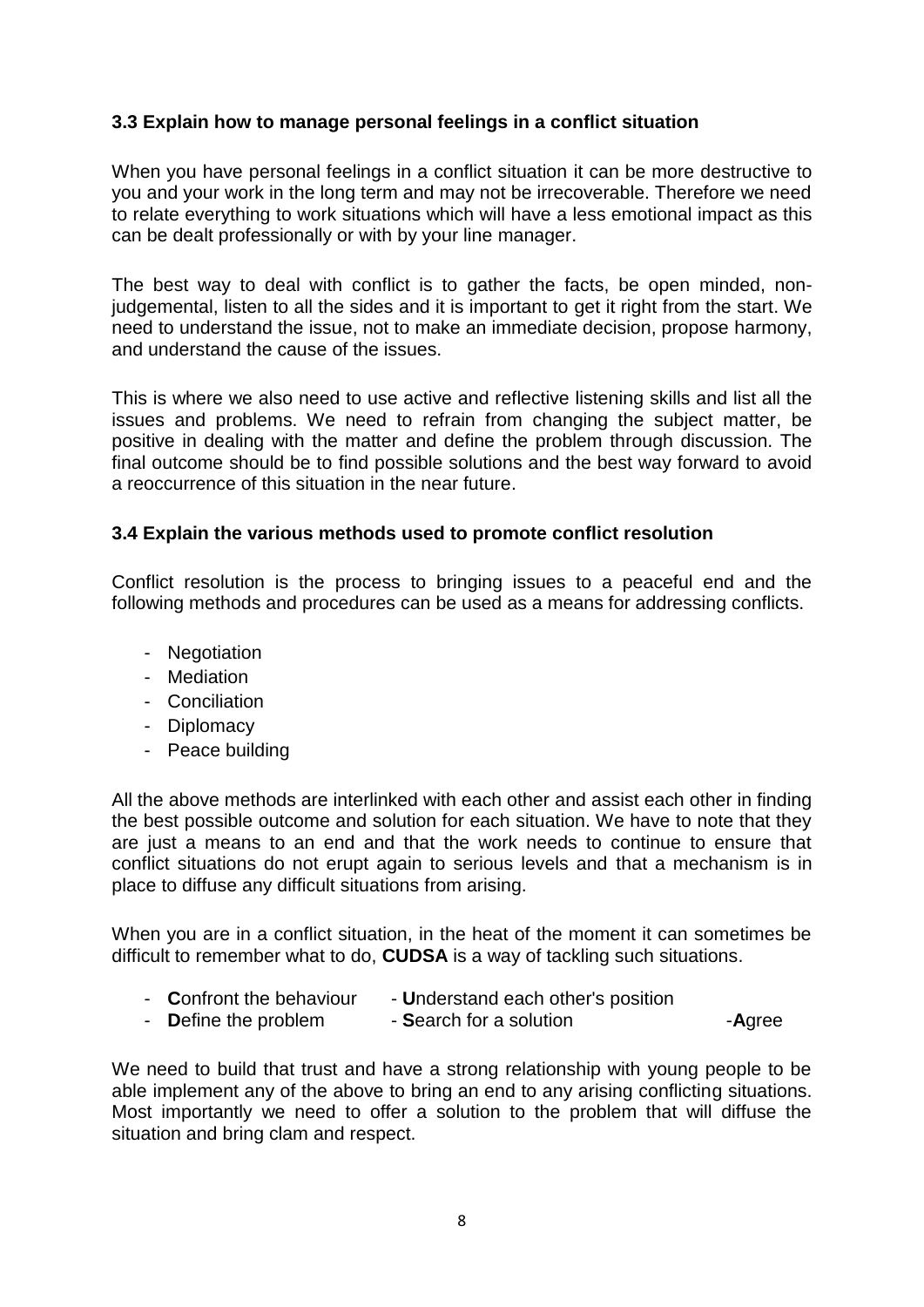#### **3.3 Explain how to manage personal feelings in a conflict situation**

When you have personal feelings in a conflict situation it can be more destructive to you and your work in the long term and may not be irrecoverable. Therefore we need to relate everything to work situations which will have a less emotional impact as this can be dealt professionally or with by your line manager.

The best way to deal with conflict is to gather the facts, be open minded, nonjudgemental, listen to all the sides and it is important to get it right from the start. We need to understand the issue, not to make an immediate decision, propose harmony, and understand the cause of the issues.

This is where we also need to use active and reflective listening skills and list all the issues and problems. We need to refrain from changing the subject matter, be positive in dealing with the matter and define the problem through discussion. The final outcome should be to find possible solutions and the best way forward to avoid a reoccurrence of this situation in the near future.

#### **3.4 Explain the various methods used to promote conflict resolution**

Conflict resolution is the process to bringing issues to a peaceful end and the following methods and procedures can be used as a means for addressing conflicts.

- Negotiation
- Mediation
- Conciliation
- Diplomacy
- Peace building

All the above methods are interlinked with each other and assist each other in finding the best possible outcome and solution for each situation. We have to note that they are just a means to an end and that the work needs to continue to ensure that conflict situations do not erupt again to serious levels and that a mechanism is in place to diffuse any difficult situations from arising.

When you are in a conflict situation, in the heat of the moment it can sometimes be difficult to remember what to do, **CUDSA** is a way of tackling such situations.

- **Confront the behaviour Understand each other's position**
- **Define the problem Search for a solution Agree**

We need to build that trust and have a strong relationship with young people to be able implement any of the above to bring an end to any arising conflicting situations. Most importantly we need to offer a solution to the problem that will diffuse the situation and bring clam and respect.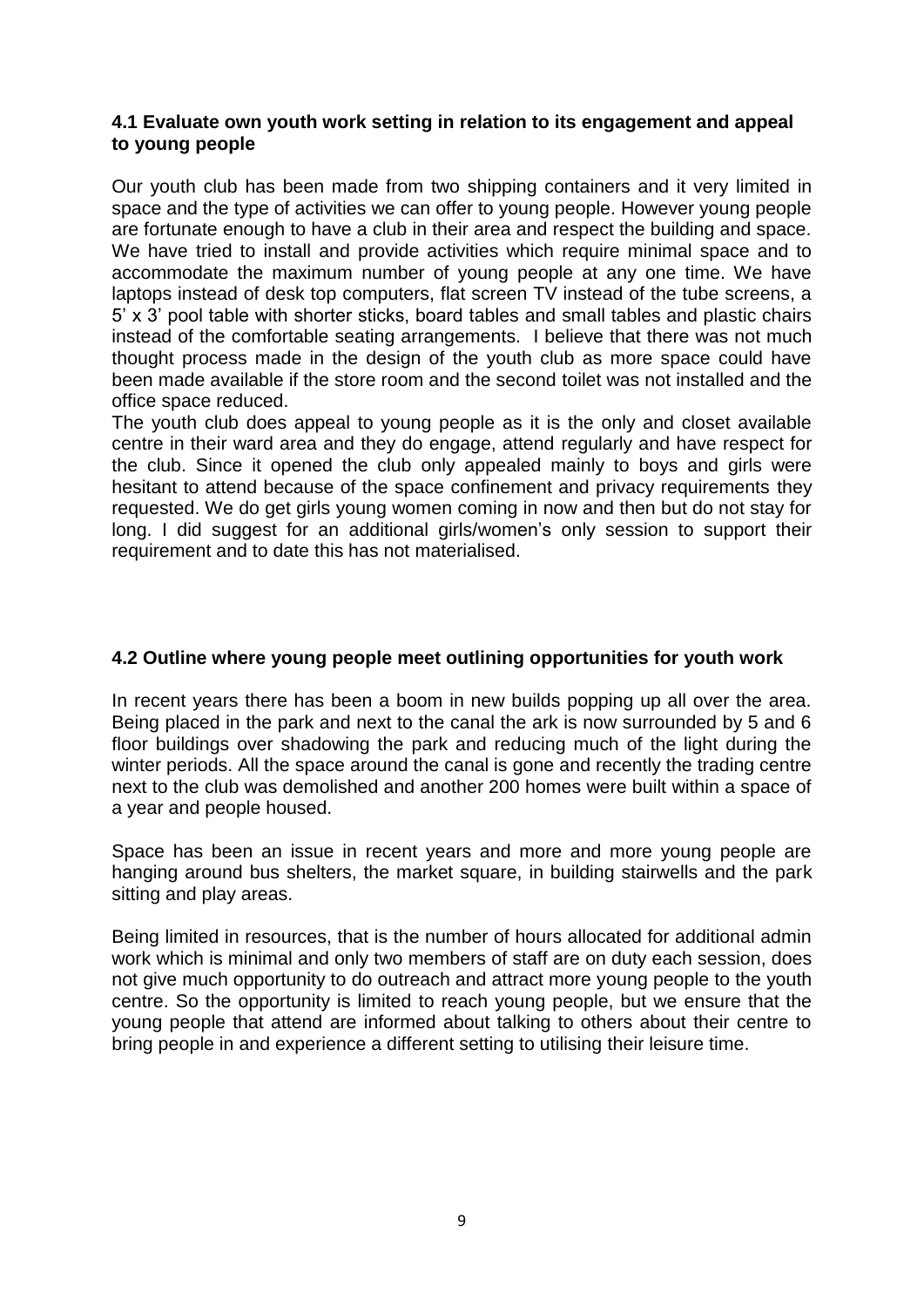#### **4.1 Evaluate own youth work setting in relation to its engagement and appeal to young people**

Our youth club has been made from two shipping containers and it very limited in space and the type of activities we can offer to young people. However young people are fortunate enough to have a club in their area and respect the building and space. We have tried to install and provide activities which require minimal space and to accommodate the maximum number of young people at any one time. We have laptops instead of desk top computers, flat screen TV instead of the tube screens, a 5' x 3' pool table with shorter sticks, board tables and small tables and plastic chairs instead of the comfortable seating arrangements. I believe that there was not much thought process made in the design of the youth club as more space could have been made available if the store room and the second toilet was not installed and the office space reduced.

The youth club does appeal to young people as it is the only and closet available centre in their ward area and they do engage, attend regularly and have respect for the club. Since it opened the club only appealed mainly to boys and girls were hesitant to attend because of the space confinement and privacy requirements they requested. We do get girls young women coming in now and then but do not stay for long. I did suggest for an additional girls/women's only session to support their requirement and to date this has not materialised.

#### **4.2 Outline where young people meet outlining opportunities for youth work**

In recent years there has been a boom in new builds popping up all over the area. Being placed in the park and next to the canal the ark is now surrounded by 5 and 6 floor buildings over shadowing the park and reducing much of the light during the winter periods. All the space around the canal is gone and recently the trading centre next to the club was demolished and another 200 homes were built within a space of a year and people housed.

Space has been an issue in recent years and more and more young people are hanging around bus shelters, the market square, in building stairwells and the park sitting and play areas.

Being limited in resources, that is the number of hours allocated for additional admin work which is minimal and only two members of staff are on duty each session, does not give much opportunity to do outreach and attract more young people to the youth centre. So the opportunity is limited to reach young people, but we ensure that the young people that attend are informed about talking to others about their centre to bring people in and experience a different setting to utilising their leisure time.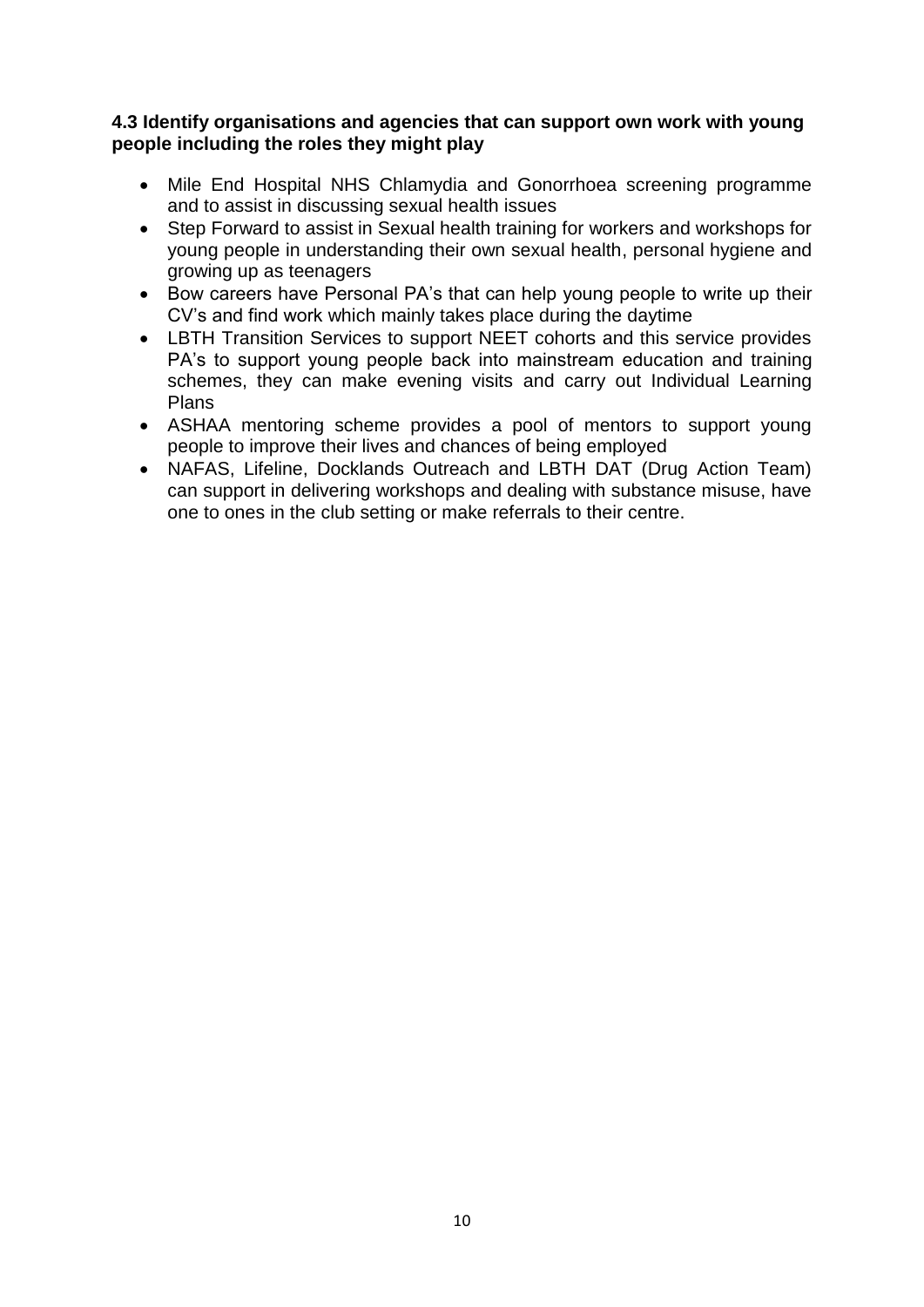#### **4.3 Identify organisations and agencies that can support own work with young people including the roles they might play**

- Mile End Hospital NHS Chlamydia and Gonorrhoea screening programme and to assist in discussing sexual health issues
- Step Forward to assist in Sexual health training for workers and workshops for young people in understanding their own sexual health, personal hygiene and growing up as teenagers
- Bow careers have Personal PA's that can help young people to write up their CV's and find work which mainly takes place during the daytime
- LBTH Transition Services to support NEET cohorts and this service provides PA's to support young people back into mainstream education and training schemes, they can make evening visits and carry out Individual Learning Plans
- ASHAA mentoring scheme provides a pool of mentors to support young people to improve their lives and chances of being employed
- NAFAS, Lifeline, Docklands Outreach and LBTH DAT (Drug Action Team) can support in delivering workshops and dealing with substance misuse, have one to ones in the club setting or make referrals to their centre.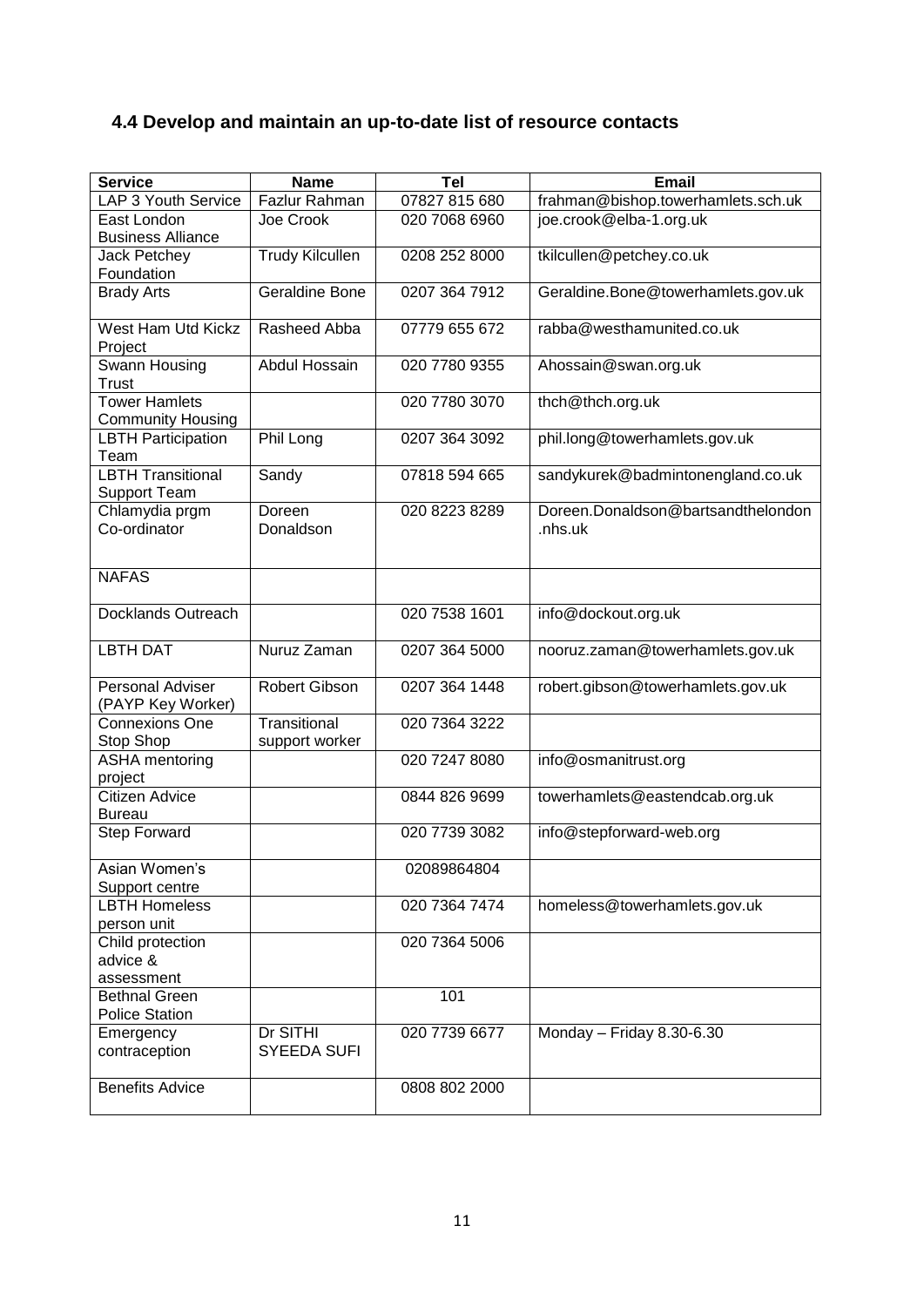### **4.4 Develop and maintain an up-to-date list of resource contacts**

| <b>Service</b>                                   | <b>Name</b>                    | Tel           | <b>Email</b>                                  |
|--------------------------------------------------|--------------------------------|---------------|-----------------------------------------------|
| LAP 3 Youth Service                              | Fazlur Rahman                  | 07827 815 680 | frahman@bishop.towerhamlets.sch.uk            |
| East London                                      | Joe Crook                      | 020 7068 6960 | joe.crook@elba-1.org.uk                       |
| <b>Business Alliance</b>                         |                                |               |                                               |
| Jack Petchey                                     | <b>Trudy Kilcullen</b>         | 0208 252 8000 | tkilcullen@petchey.co.uk                      |
| Foundation                                       |                                |               |                                               |
| <b>Brady Arts</b>                                | <b>Geraldine Bone</b>          | 0207 364 7912 | Geraldine.Bone@towerhamlets.gov.uk            |
| West Ham Utd Kickz<br>Project                    | Rasheed Abba                   | 07779 655 672 | rabba@westhamunited.co.uk                     |
| Swann Housing<br><b>Trust</b>                    | <b>Abdul Hossain</b>           | 020 7780 9355 | Ahossain@swan.org.uk                          |
| <b>Tower Hamlets</b><br><b>Community Housing</b> |                                | 020 7780 3070 | thch@thch.org.uk                              |
| <b>LBTH Participation</b><br>Team                | Phil Long                      | 0207 364 3092 | phil.long@towerhamlets.gov.uk                 |
| <b>LBTH Transitional</b><br><b>Support Team</b>  | Sandy                          | 07818 594 665 | sandykurek@badmintonengland.co.uk             |
| Chlamydia prgm<br>Co-ordinator                   | Doreen<br>Donaldson            | 020 8223 8289 | Doreen.Donaldson@bartsandthelondon<br>.nhs.uk |
| <b>NAFAS</b>                                     |                                |               |                                               |
| Docklands Outreach                               |                                | 020 7538 1601 | info@dockout.org.uk                           |
| <b>LBTH DAT</b>                                  | Nuruz Zaman                    | 0207 364 5000 | nooruz.zaman@towerhamlets.gov.uk              |
| <b>Personal Adviser</b><br>(PAYP Key Worker)     | Robert Gibson                  | 0207 364 1448 | robert.gibson@towerhamlets.gov.uk             |
| <b>Connexions One</b><br>Stop Shop               | Transitional<br>support worker | 020 7364 3222 |                                               |
| <b>ASHA</b> mentoring<br>project                 |                                | 020 7247 8080 | info@osmanitrust.org                          |
| Citizen Advice<br><b>Bureau</b>                  |                                | 0844 826 9699 | towerhamlets@eastendcab.org.uk                |
| Step Forward                                     |                                | 020 7739 3082 | info@stepforward-web.org                      |
| Asian Women's<br>Support centre                  |                                | 02089864804   |                                               |
| <b>LBTH Homeless</b><br>person unit              |                                | 020 7364 7474 | homeless@towerhamlets.gov.uk                  |
| Child protection<br>advice &                     |                                | 020 7364 5006 |                                               |
| assessment                                       |                                |               |                                               |
| <b>Bethnal Green</b>                             |                                | 101           |                                               |
| <b>Police Station</b>                            |                                |               |                                               |
| Emergency<br>contraception                       | Dr SITHI<br>SYEEDA SUFI        | 020 7739 6677 | Monday - Friday 8.30-6.30                     |
| <b>Benefits Advice</b>                           |                                | 0808 802 2000 |                                               |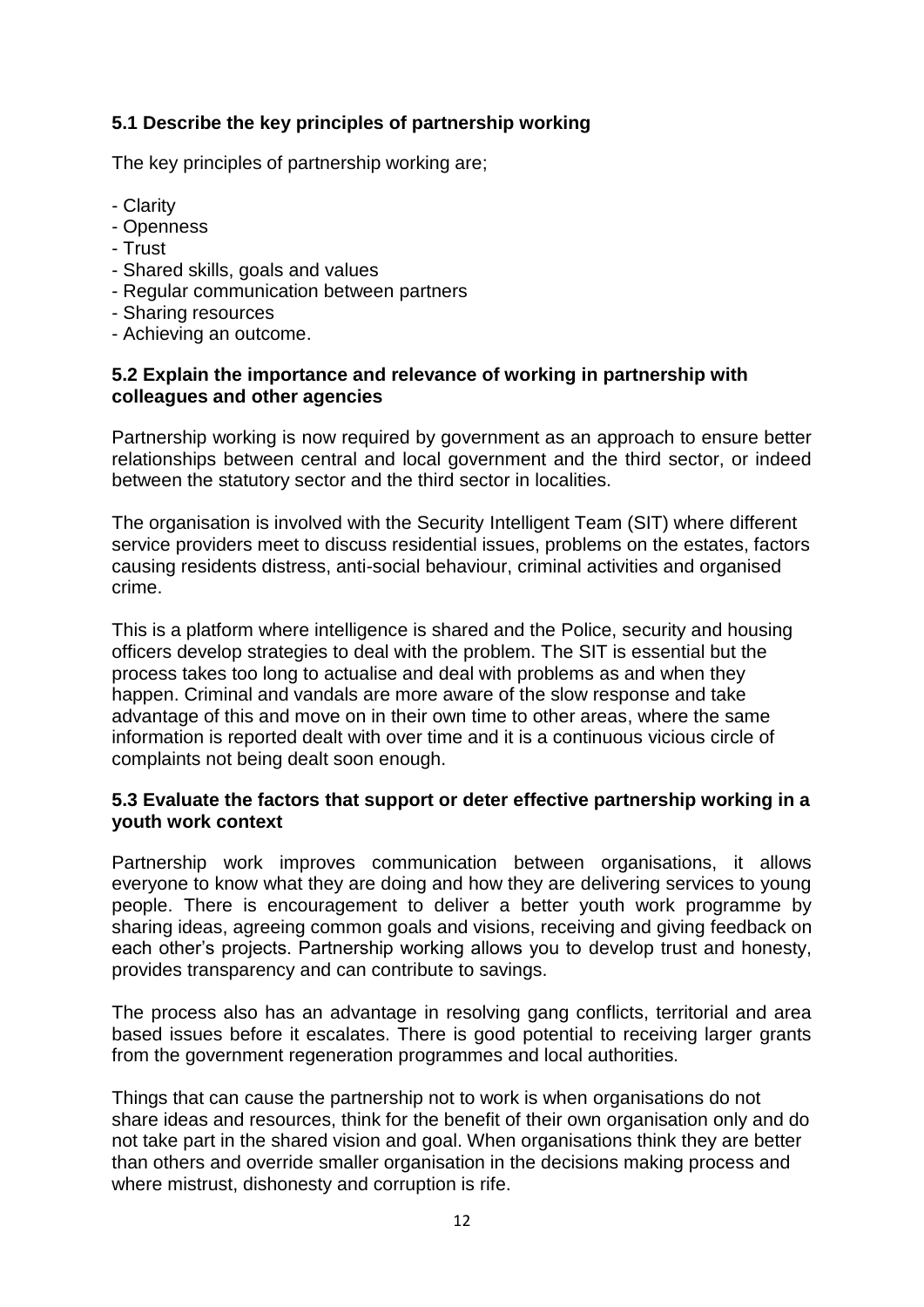#### **5.1 Describe the key principles of partnership working**

The key principles of partnership working are;

- Clarity
- Openness
- Trust
- Shared skills, goals and values
- Regular communication between partners
- Sharing resources
- Achieving an outcome.

#### **5.2 Explain the importance and relevance of working in partnership with colleagues and other agencies**

Partnership working is now required by government as an approach to ensure better relationships between central and local government and the third sector, or indeed between the statutory sector and the third sector in localities.

The organisation is involved with the Security Intelligent Team (SIT) where different service providers meet to discuss residential issues, problems on the estates, factors causing residents distress, anti-social behaviour, criminal activities and organised crime.

This is a platform where intelligence is shared and the Police, security and housing officers develop strategies to deal with the problem. The SIT is essential but the process takes too long to actualise and deal with problems as and when they happen. Criminal and vandals are more aware of the slow response and take advantage of this and move on in their own time to other areas, where the same information is reported dealt with over time and it is a continuous vicious circle of complaints not being dealt soon enough.

#### **5.3 Evaluate the factors that support or deter effective partnership working in a youth work context**

Partnership work improves communication between organisations, it allows everyone to know what they are doing and how they are delivering services to young people. There is encouragement to deliver a better youth work programme by sharing ideas, agreeing common goals and visions, receiving and giving feedback on each other's projects. Partnership working allows you to develop trust and honesty, provides transparency and can contribute to savings.

The process also has an advantage in resolving gang conflicts, territorial and area based issues before it escalates. There is good potential to receiving larger grants from the government regeneration programmes and local authorities.

Things that can cause the partnership not to work is when organisations do not share ideas and resources, think for the benefit of their own organisation only and do not take part in the shared vision and goal. When organisations think they are better than others and override smaller organisation in the decisions making process and where mistrust, dishonesty and corruption is rife.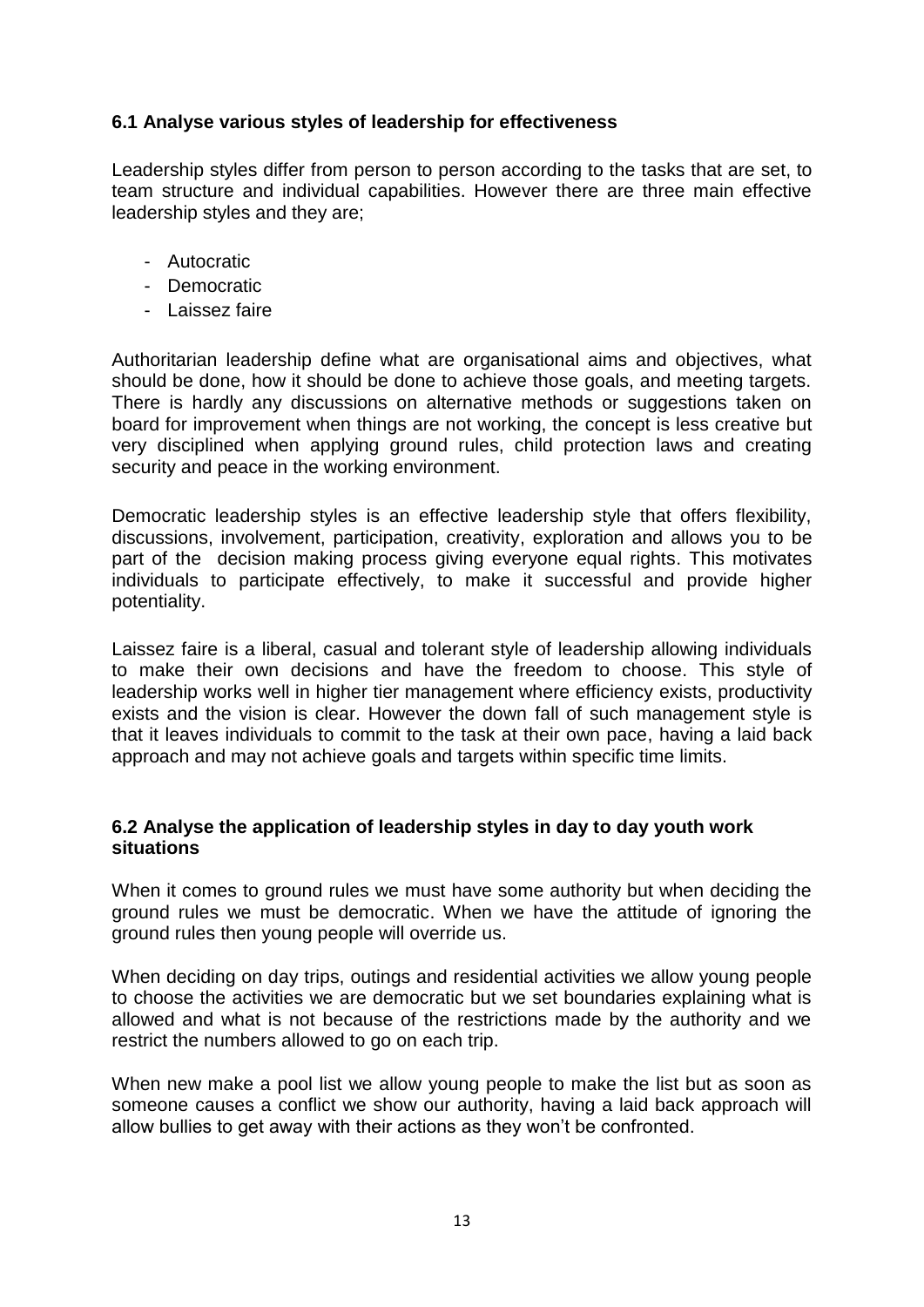#### **6.1 Analyse various styles of leadership for effectiveness**

Leadership styles differ from person to person according to the tasks that are set, to team structure and individual capabilities. However there are three main effective leadership styles and they are;

- Autocratic
- Democratic
- Laissez faire

Authoritarian leadership define what are organisational aims and objectives, what should be done, how it should be done to achieve those goals, and meeting targets. There is hardly any discussions on alternative methods or suggestions taken on board for improvement when things are not working, the concept is less creative but very disciplined when applying ground rules, child protection laws and creating security and peace in the working environment.

Democratic leadership styles is an effective leadership style that offers flexibility, discussions, involvement, participation, creativity, exploration and allows you to be part of the decision making process giving everyone equal rights. This motivates individuals to participate effectively, to make it successful and provide higher potentiality.

Laissez faire is a liberal, casual and tolerant style of leadership allowing individuals to make their own decisions and have the freedom to choose. This style of leadership works well in higher tier management where efficiency exists, productivity exists and the vision is clear. However the down fall of such management style is that it leaves individuals to commit to the task at their own pace, having a laid back approach and may not achieve goals and targets within specific time limits.

#### **6.2 Analyse the application of leadership styles in day to day youth work situations**

When it comes to ground rules we must have some authority but when deciding the ground rules we must be democratic. When we have the attitude of ignoring the ground rules then young people will override us.

When deciding on day trips, outings and residential activities we allow young people to choose the activities we are democratic but we set boundaries explaining what is allowed and what is not because of the restrictions made by the authority and we restrict the numbers allowed to go on each trip.

When new make a pool list we allow young people to make the list but as soon as someone causes a conflict we show our authority, having a laid back approach will allow bullies to get away with their actions as they won't be confronted.